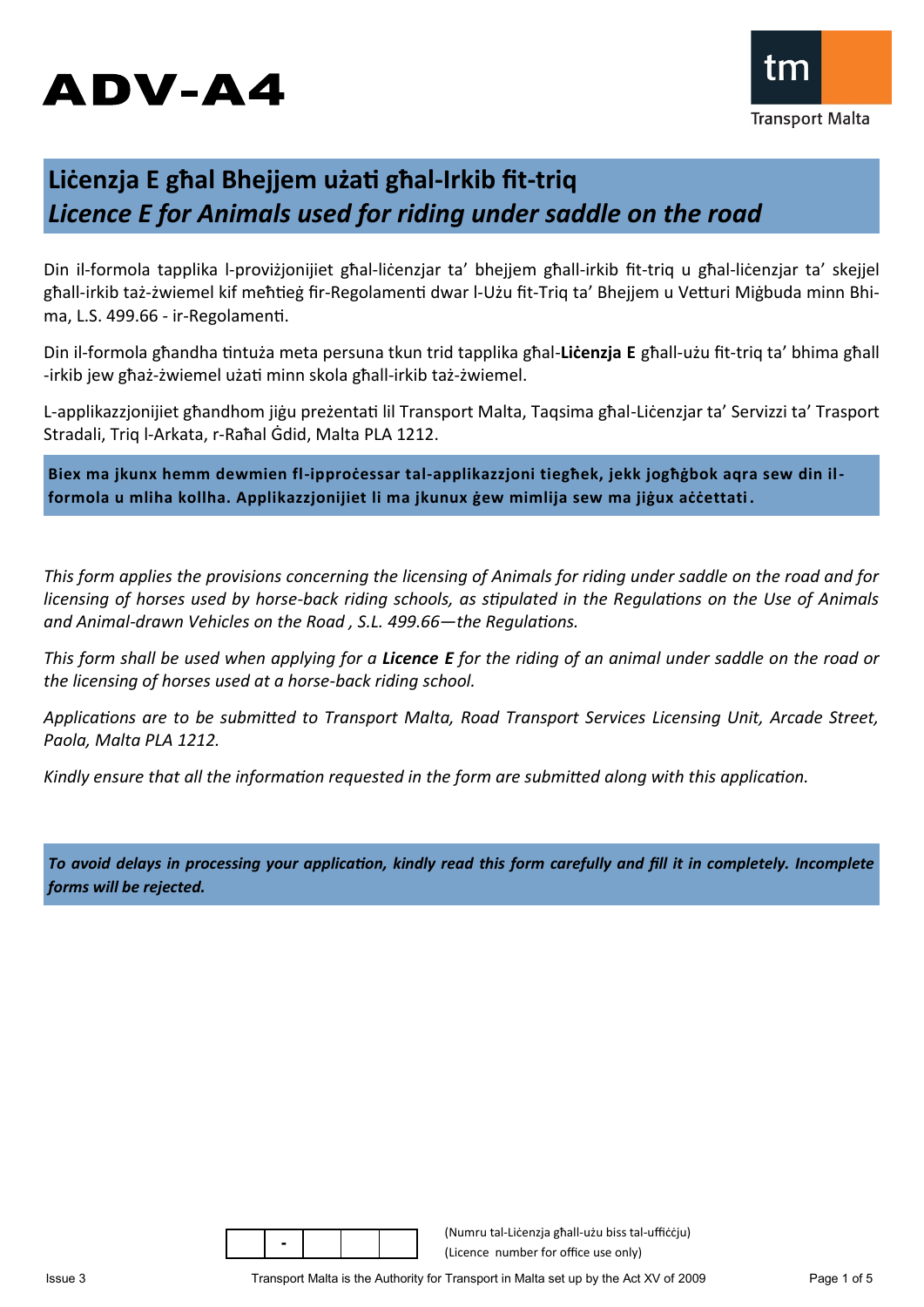# ADV-A4



## **Liċenzja E għal Bhejjem użati għal-Irkib fit-triq** *Licence E for Animals used for riding under saddle on the road*

Din il-formola tapplika l-proviżjonijiet għal-liċenzjar ta' bhejjem għall-irkib fit-triq u għal-liċenzjar ta' skejjel għall-irkib taż-żwiemel kif meħtieġ fir-Regolamenti dwar l-Użu fit-Triq ta' Bhejjem u Vetturi Miġbuda minn Bhima, L.S. 499.66 - ir-Regolamenti.

Din il-formola għandha tintuża meta persuna tkun trid tapplika għal-**Liċenzja E** għall-użu fit-triq ta' bhima għall -irkib jew għaż-żwiemel użati minn skola għall-irkib taż-żwiemel.

L-applikazzjonijiet għandhom jiġu preżentati lil Transport Malta, Taqsima għal-Liċenzjar ta' Servizzi ta' Trasport Stradali, Triq l-Arkata, r-Raħal Ġdid, Malta PLA 1212.

Biex ma jkunx hemm dewmien fl-ipproċessar tal-applikazzjoni tiegħek, jekk jogħġbok aqra sew din il**formola u mliha kollha. Applikazzjonijiet li ma jkunux ġew mimlija sew ma jiġux aċċettati .**

*This form applies the provisions concerning the licensing of Animals for riding under saddle on the road and for licensing of horses used by horse-back riding schools, as stipulated in the Regulations on the Use of Animals and Animal-drawn Vehicles on the Road , S.L. 499.66—the Regulations.*

*This form shall be used when applying for a Licence E for the riding of an animal under saddle on the road or the licensing of horses used at a horse-back riding school.*

*Applications are to be submitted to Transport Malta, Road Transport Services Licensing Unit, Arcade Street, Paola, Malta PLA 1212.*

*Kindly ensure that all the information requested in the form are submitted along with this application.* 

*To avoid delays in processing your application, kindly read this form carefully and fill it in completely. Incomplete forms will be rejected.*

(Numru tal-Liċenzja għall-użu biss tal-uffiċċju) (Licence number for office use only)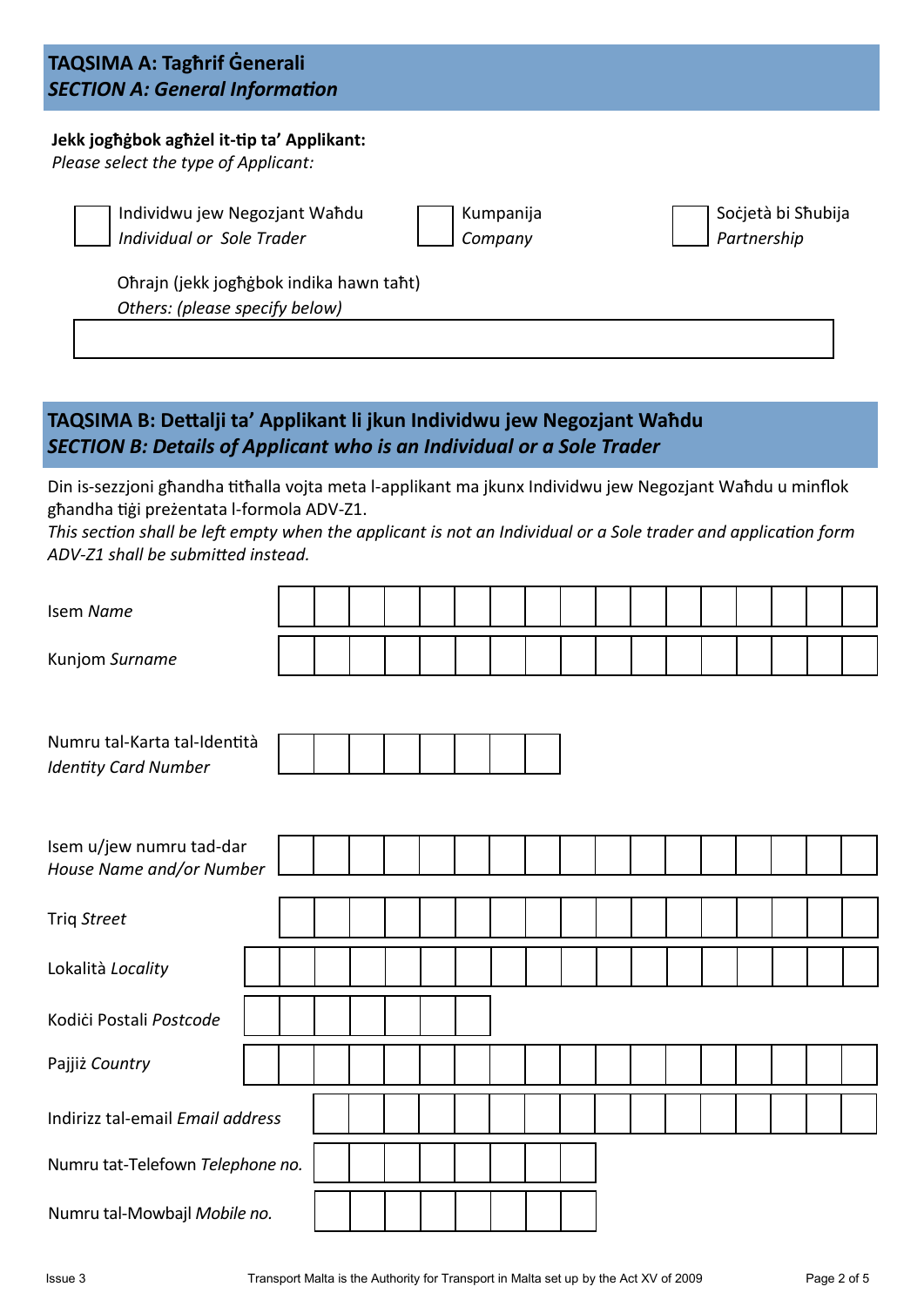### **TAQSIMA A: Tagħrif Ġenerali** *SECTION A: General Information*

### **Jekk jogħġbok agħżel it-tip ta' Applikant:**

*Please select the type of Applicant:*

Individwu jew Negozjant Waħdu *Individual or Sole Trader*

Kumpanija *Company*

Soċjetà bi Sħubija *Partnership*

Oħrajn (jekk jogħġbok indika hawn taħt) *Others: (please specify below)*

### **TAQSIMA B: Dettalji ta' Applikant li jkun Individwu jew Negozjant Waħdu** *SECTION B: Details of Applicant who is an Individual or a Sole Trader*

Din is-sezzjoni għandha titħalla vojta meta l-applikant ma jkunx Individwu jew Negozjant Waħdu u minflok għandha tiġi preżentata l-formola ADV-Z1.

*This section shall be left empty when the applicant is not an Individual or a Sole trader and application form ADV-Z1 shall be submitted instead.* 

| Isem Name                                                   |  |  |  |  |  |  |  |  |  |
|-------------------------------------------------------------|--|--|--|--|--|--|--|--|--|
| Kunjom Surname                                              |  |  |  |  |  |  |  |  |  |
|                                                             |  |  |  |  |  |  |  |  |  |
| Numru tal-Karta tal-Identità<br><b>Identity Card Number</b> |  |  |  |  |  |  |  |  |  |
|                                                             |  |  |  |  |  |  |  |  |  |
| Isem u/jew numru tad-dar                                    |  |  |  |  |  |  |  |  |  |
| House Name and/or Number                                    |  |  |  |  |  |  |  |  |  |
| Triq Street                                                 |  |  |  |  |  |  |  |  |  |
| Lokalità Locality                                           |  |  |  |  |  |  |  |  |  |
| Kodići Postali Postcode                                     |  |  |  |  |  |  |  |  |  |
| Pajjiż Country                                              |  |  |  |  |  |  |  |  |  |
| Indirizz tal-email Email address                            |  |  |  |  |  |  |  |  |  |
| Numru tat-Telefown Telephone no.                            |  |  |  |  |  |  |  |  |  |
| Numru tal-Mowbajl Mobile no.                                |  |  |  |  |  |  |  |  |  |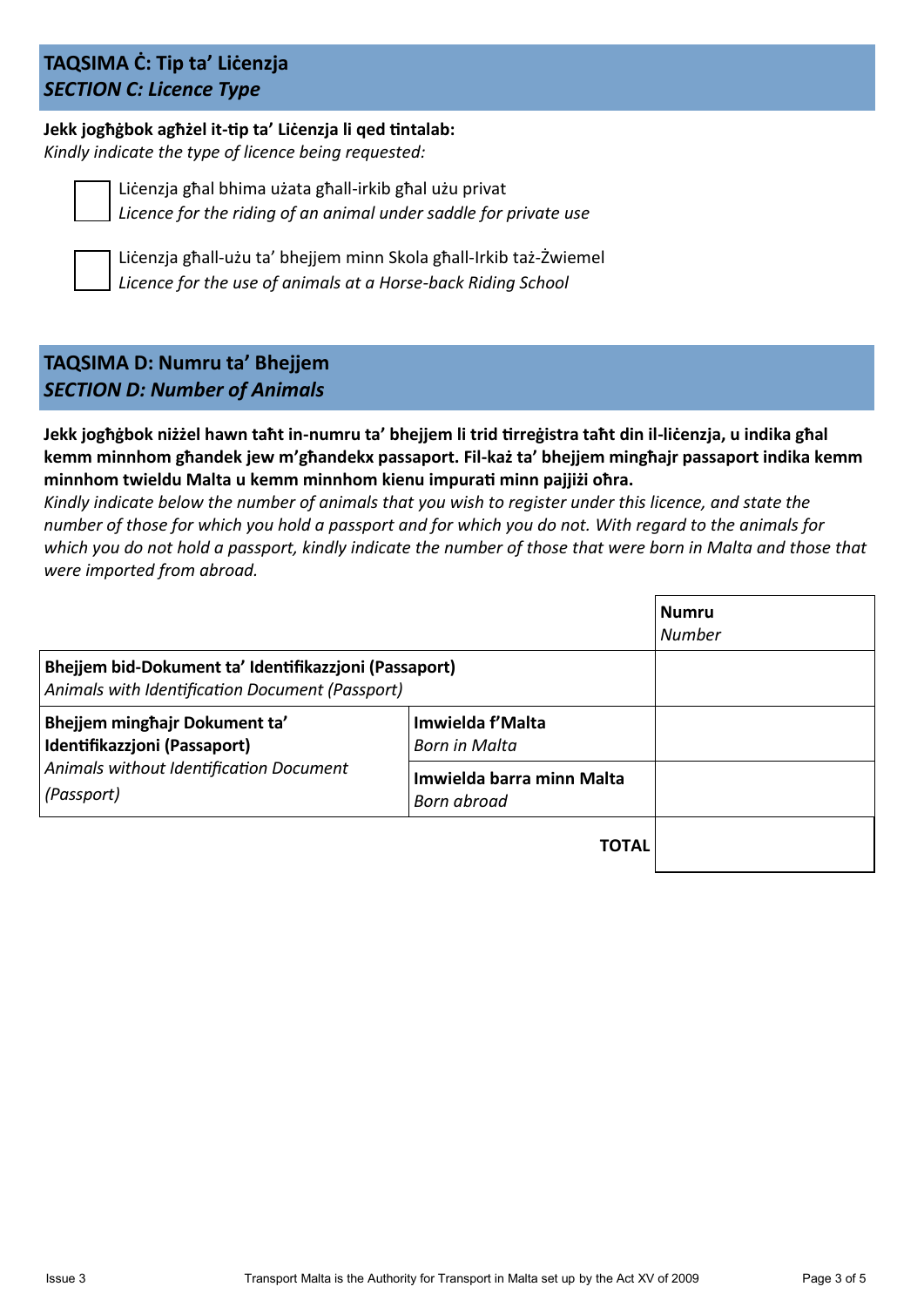### **TAQSIMA Ċ: Tip ta' Liċenzja**  *SECTION C: Licence Type*

### **Jekk jogħġbok agħżel it-tip ta' Liċenzja li qed tintalab:** *Kindly indicate the type of licence being requested:*



Liċenzja għal bhima użata għall-irkib għal użu privat *Licence for the riding of an animal under saddle for private use*



Liċenzja għall-użu ta' bhejjem minn Skola għall-Irkib taż-Żwiemel *Licence for the use of animals at a Horse-back Riding School* 

### **TAQSIMA D: Numru ta' Bhejjem** *SECTION D: Number of Animals*

**Jekk jogħġbok niżżel hawn taħt in-numru ta' bhejjem li trid tirreġistra taħt din il-liċenzja, u indika għal kemm minnhom għandek jew m'għandekx passaport. Fil-każ ta' bhejjem mingħajr passaport indika kemm minnhom twieldu Malta u kemm minnhom kienu impurati minn pajjiżi oħra.** 

*Kindly indicate below the number of animals that you wish to register under this licence, and state the number of those for which you hold a passport and for which you do not. With regard to the animals for which you do not hold a passport, kindly indicate the number of those that were born in Malta and those that were imported from abroad.*

|                                                                                                          |                                          | <b>Numru</b><br><b>Number</b> |
|----------------------------------------------------------------------------------------------------------|------------------------------------------|-------------------------------|
| Bhejjem bid-Dokument ta' Identifikazzjoni (Passaport)<br>Animals with Identification Document (Passport) |                                          |                               |
| Bhejjem minghajr Dokument ta'<br>Identifikazzjoni (Passaport)                                            | Imwielda f'Malta<br>Born in Malta        |                               |
| Animals without Identification Document<br>(Passport)                                                    | Imwielda barra minn Malta<br>Born abroad |                               |
|                                                                                                          | <b>TOTAL</b>                             |                               |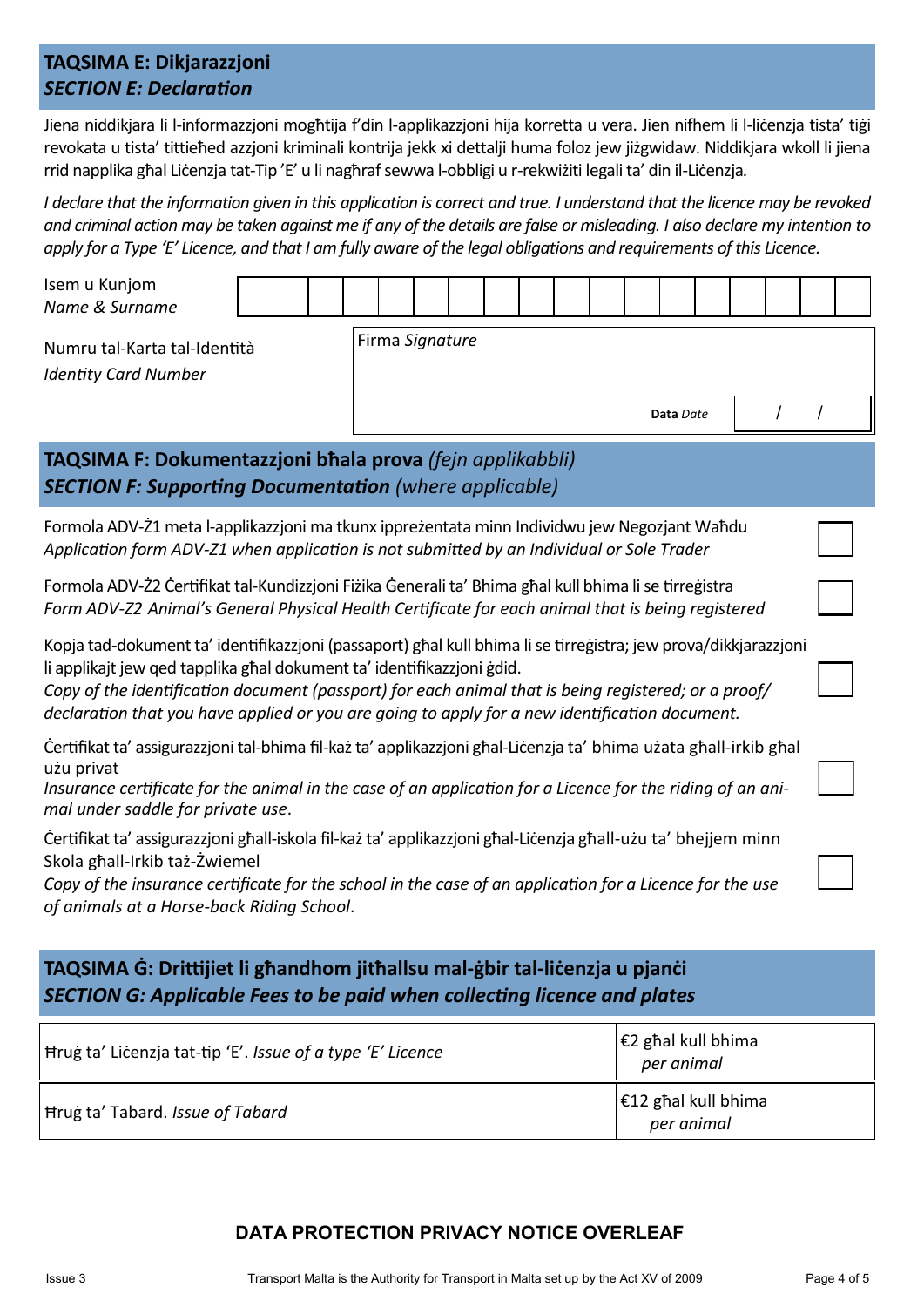### **TAQSIMA E: Dikjarazzjoni** *SECTION E: Declaration*

Jiena niddikjara li l-informazzjoni mogħtija f'din l-applikazzjoni hija korretta u vera. Jien nifhem li l-liċenzja tista' tiġi revokata u tista' tittieħed azzjoni kriminali kontrija jekk xi dettalji huma foloz jew jiżgwidaw. Niddikjara wkoll li jiena rrid napplika għal Liċenzja tat-Tip 'E' u li nagħraf sewwa l-obbligi u r-rekwiżiti legali ta' din il-Liċenzja*.*

*I declare that the information given in this application is correct and true. I understand that the licence may be revoked and criminal action may be taken against me if any of the details are false or misleading. I also declare my intention to apply for a Type 'E' Licence, and that I am fully aware of the legal obligations and requirements of this Licence.*

| Isem u Kunjom<br>Name & Surname                                                                                                                                                                                                                                                                                                                                                                     |  |  |  |                 |  |  |  |  |  |  |  |  |  |  |  |  |  |
|-----------------------------------------------------------------------------------------------------------------------------------------------------------------------------------------------------------------------------------------------------------------------------------------------------------------------------------------------------------------------------------------------------|--|--|--|-----------------|--|--|--|--|--|--|--|--|--|--|--|--|--|
| Numru tal-Karta tal-Identità<br><b>Identity Card Number</b>                                                                                                                                                                                                                                                                                                                                         |  |  |  | Firma Signature |  |  |  |  |  |  |  |  |  |  |  |  |  |
|                                                                                                                                                                                                                                                                                                                                                                                                     |  |  |  | Data Date       |  |  |  |  |  |  |  |  |  |  |  |  |  |
| TAQSIMA F: Dokumentazzjoni bhala prova (fejn applikabbli)<br><b>SECTION F: Supporting Documentation (where applicable)</b>                                                                                                                                                                                                                                                                          |  |  |  |                 |  |  |  |  |  |  |  |  |  |  |  |  |  |
| Formola ADV-21 meta l-applikazzjoni ma tkunx ipprezentata minn Individwu jew Negozjant Wahdu<br>Application form ADV-Z1 when application is not submitted by an Individual or Sole Trader                                                                                                                                                                                                           |  |  |  |                 |  |  |  |  |  |  |  |  |  |  |  |  |  |
| Formola ADV-22 Certifikat tal-Kundizzjoni Fizika Generali ta' Bhima ghal kull bhima li se tirregistra<br>Form ADV-Z2 Animal's General Physical Health Certificate for each animal that is being registered                                                                                                                                                                                          |  |  |  |                 |  |  |  |  |  |  |  |  |  |  |  |  |  |
| Kopja tad-dokument ta' identifikazzjoni (passaport) ghal kull bhima li se tirreģistra; jew prova/dikkjarazzjoni<br>li applikajt jew ged tapplika ghal dokument ta' identifikazzjoni gdid.<br>Copy of the identification document (passport) for each animal that is being registered; or a proof/<br>declaration that you have applied or you are going to apply for a new identification document. |  |  |  |                 |  |  |  |  |  |  |  |  |  |  |  |  |  |
| Certifikat ta' assigurazzjoni tal-bhima fil-kaz ta' applikazzjoni għal-Licenzja ta' bhima uzata għall-irkib għal<br>użu privat<br>Insurance certificate for the animal in the case of an application for a Licence for the riding of an ani-<br>mal under saddle for private use.                                                                                                                   |  |  |  |                 |  |  |  |  |  |  |  |  |  |  |  |  |  |
| Čertifikat ta' assigurazzjoni ghall-iskola fil-każ ta' applikazzjoni ghal-Liċenzja ghall-użu ta' bhejjem minn<br>Skola ghall-Irkib taż-Żwiemel<br>Copy of the insurance certificate for the school in the case of an application for a Licence for the use<br>of animals at a Horse-back Riding School.                                                                                             |  |  |  |                 |  |  |  |  |  |  |  |  |  |  |  |  |  |

### **TAQSIMA Ġ: Drittijiet li għandhom jitħallsu mal-ġbir tal-liċenzja u pjanċi** *SECTION G: Applicable Fees to be paid when collecting licence and plates*

| Hrug ta' Licenzia tat-tip 'E'. Issue of a type 'E' Licence | $ \epsilon$ 2 ghal kull bhima<br>per animal |
|------------------------------------------------------------|---------------------------------------------|
| Hrug ta' Tabard. Issue of Tabard                           | $\epsilon$ 12 ghal kull bhima<br>per animal |

### **DATA PROTECTION PRIVACY NOTICE OVERLEAF**